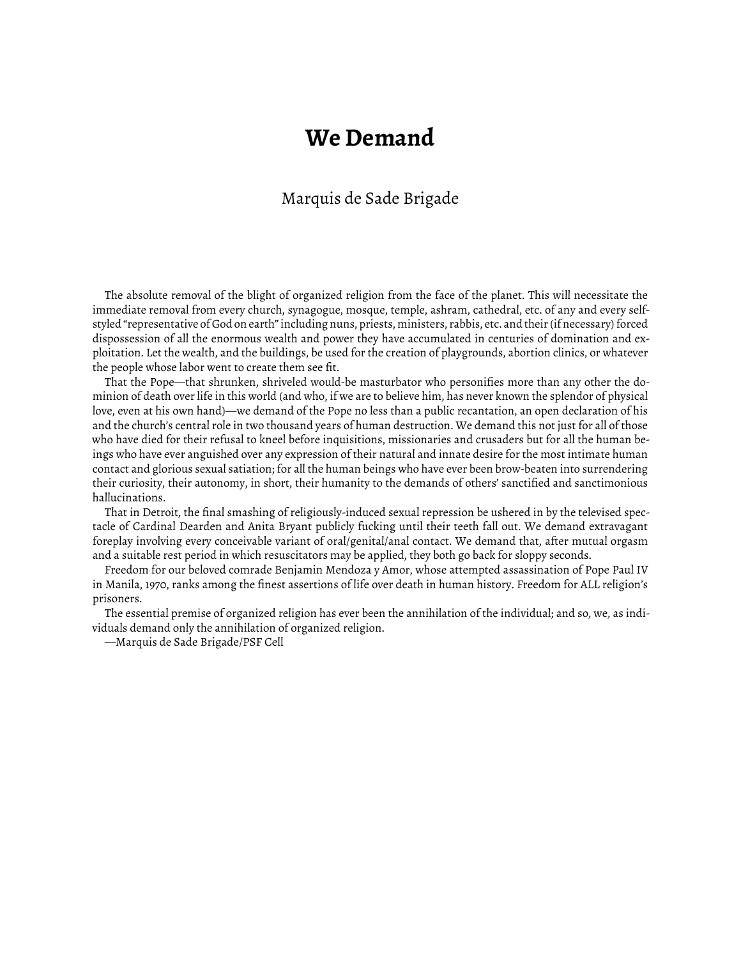## **We Demand**

## Marquis de Sade Brigade

The absolute removal of the blight of organized religion from the face of the planet. This will necessitate the immediate removal from every church, synagogue, mosque, temple, ashram, cathedral, etc. of any and every selfstyled "representative of God on earth" including nuns, priests, ministers, rabbis, etc. and their (if necessary) forced dispossession of all the enormous wealth and power they have accumulated in centuries of domination and exploitation. Let the wealth, and the buildings, be used for the creation of playgrounds, abortion clinics, or whatever the people whose labor went to create them see fit.

That the Pope—that shrunken, shriveled would-be masturbator who personifies more than any other the dominion of death over life in this world (and who, if we are to believe him, has never known the splendor of physical love, even at his own hand)—we demand of the Pope no less than a public recantation, an open declaration of his and the church's central role in two thousand years of human destruction. We demand this not just for all of those who have died for their refusal to kneel before inquisitions, missionaries and crusaders but for all the human beings who have ever anguished over any expression of their natural and innate desire for the most intimate human contact and glorious sexual satiation; for all the human beings who have ever been brow-beaten into surrendering their curiosity, their autonomy, in short, their humanity to the demands of others' sanctified and sanctimonious hallucinations.

That in Detroit, the final smashing of religiously-induced sexual repression be ushered in by the televised spectacle of Cardinal Dearden and Anita Bryant publicly fucking until their teeth fall out. We demand extravagant foreplay involving every conceivable variant of oral/genital/anal contact. We demand that, after mutual orgasm and a suitable rest period in which resuscitators may be applied, they both go back for sloppy seconds.

Freedom for our beloved comrade Benjamin Mendoza y Amor, whose attempted assassination of Pope Paul IV in Manila, 1970, ranks among the finest assertions of life over death in human history. Freedom for ALL religion's prisoners.

The essential premise of organized religion has ever been the annihilation of the individual; and so, we, as individuals demand only the annihilation of organized religion.

—Marquis de Sade Brigade/PSF Cell